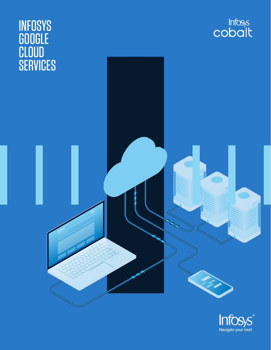

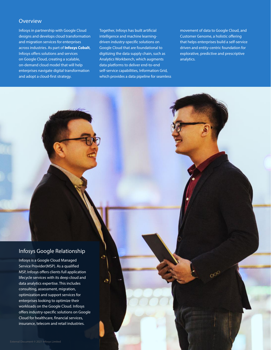### **Overview**

Infosys in partnership with Google Cloud designs and develops cloud transformation and migration services for enterprises across industries. As part of **[Infosys Cobalt](https://www.infosys.com/services/cloud-cobalt.html)**, Infosys offers solutions and services on Google Cloud, creating a scalable, on-demand cloud model that will help enterprises navigate digital transformation and adopt a cloud-first strategy.

Together, Infosys has built artificial intelligence and machine learningdriven industry-specific solutions on Google Cloud that are foundational to digitizing the data supply chain, such as Analytics Workbench, which augments data platforms to deliver end-to-end self-service capabilities, Information Grid, which provides a data pipeline for seamless

movement of data to Google Cloud, and Customer Genome, a holistic offering that helps enterprises build a self-service driven and entity-centric foundation for explorative, predictive and prescriptive analytics.

# Infosys Google Relationship

Infosys is a Google Cloud Managed Service Provider(MSP). As a qualified MSP, Infosys offers clients full application lifecycle services with its deep cloud and data analytics expertise. This includes consulting, assessment, migration, optimization and support services for enterprises looking to optimize their workloads on the Google Cloud. Infosys offers industry-specific solutions on Google Cloud for healthcare, financial services, insurance, telecom and retail industries.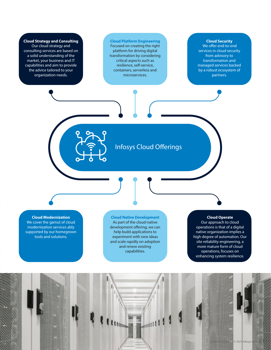**Cloud Strategy and Consulting** Our cloud strategy and consulting services are based on a solid understanding of the market, your business and IT capabilities and aim to provide the advice tailored to your organization needs.

**Cloud Platform Engineering** Focused on creating the right platform for driving digital transformation by considering critical aspects such as resilience, self-service, containers, serverless and microservices.

### **Cloud Security**

We offer end-to-end services in cloud security from advisory to transformation and managed services backed by a robust ecosystem of partners.

Infosys Cloud Offerings

**Cloud Modernization** We cover the gamut of cloud

modernization services ably supported by our homegrown tools and solutions.

#### **Cloud Native Development** As part of the cloud-native development offering, we can help build applications to experiment with new ideas and scale rapidly on adoption and renew existing capabilities.

**Cloud Operate** Our approach to cloud operations is that of a digital native organization implies a

high degree of automation. Our site reliability engineering, a more mature form of cloud operations, focuses on enhancing system resilience.